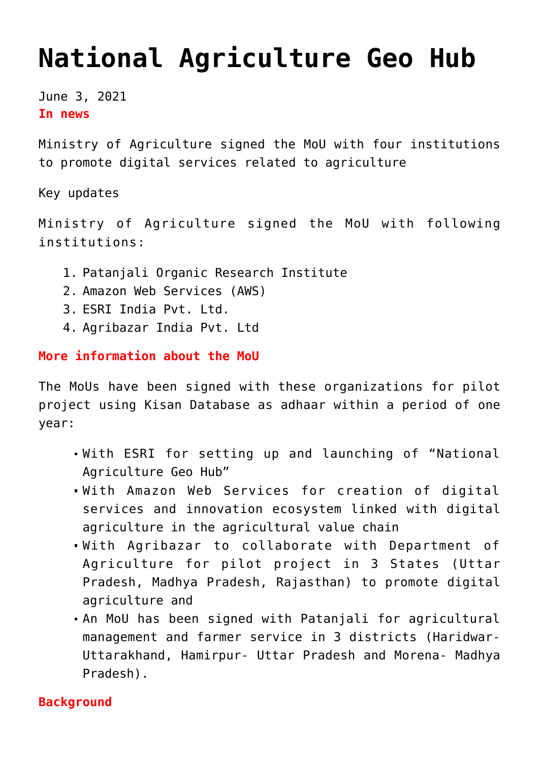## **[National Agriculture Geo Hub](https://journalsofindia.com/national-agriculture-geo-hub/)**

June 3, 2021 **In news**

Ministry of Agriculture signed the MoU with four institutions to promote digital services related to agriculture

Key updates

Ministry of Agriculture signed the MoU with following institutions:

- 1. Patanjali Organic Research Institute
- 2. Amazon Web Services (AWS)
- 3. ESRI India Pvt. Ltd.
- 4. Agribazar India Pvt. Ltd

**More information about the MoU**

The MoUs have been signed with these organizations for pilot project using Kisan Database as adhaar within a period of one year:

- With ESRI for setting up and launching of "National Agriculture Geo Hub"
- With Amazon Web Services for creation of digital services and innovation ecosystem linked with digital agriculture in the agricultural value chain
- With Agribazar to collaborate with Department of Agriculture for pilot project in 3 States (Uttar Pradesh, Madhya Pradesh, Rajasthan) to promote digital agriculture and
- An MoU has been signed with Patanjali for agricultural management and farmer service in 3 districts (Haridwar-Uttarakhand, Hamirpur- Uttar Pradesh and Morena- Madhya Pradesh).

## **Background**